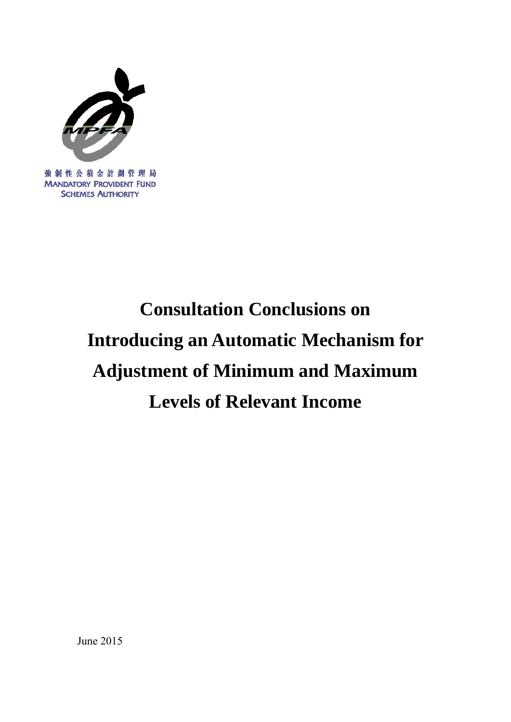

# **Consultation Conclusions on Introducing an Automatic Mechanism for Adjustment of Minimum and Maximum Levels of Relevant Income**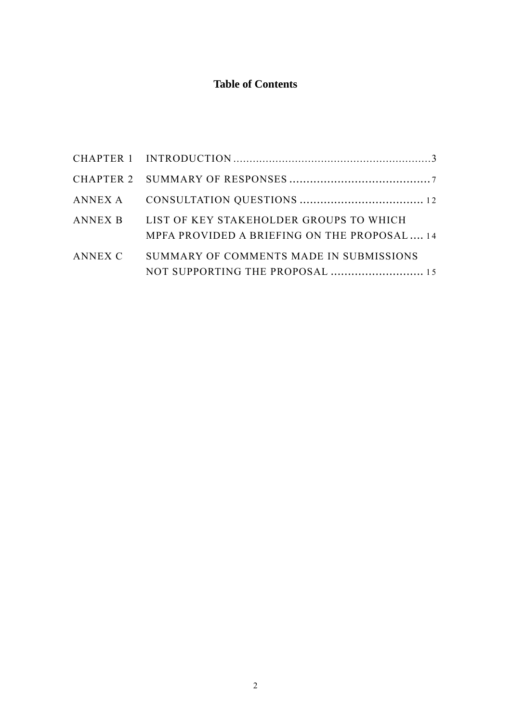## **Table of Contents**

| ANNEX B LIST OF KEY STAKEHOLDER GROUPS TO WHICH<br>MPFA PROVIDED A BRIEFING ON THE PROPOSAL 14 |  |
|------------------------------------------------------------------------------------------------|--|
| ANNEX C SUMMARY OF COMMENTS MADE IN SUBMISSIONS<br>NOT SUPPORTING THE PROPOSAL  15             |  |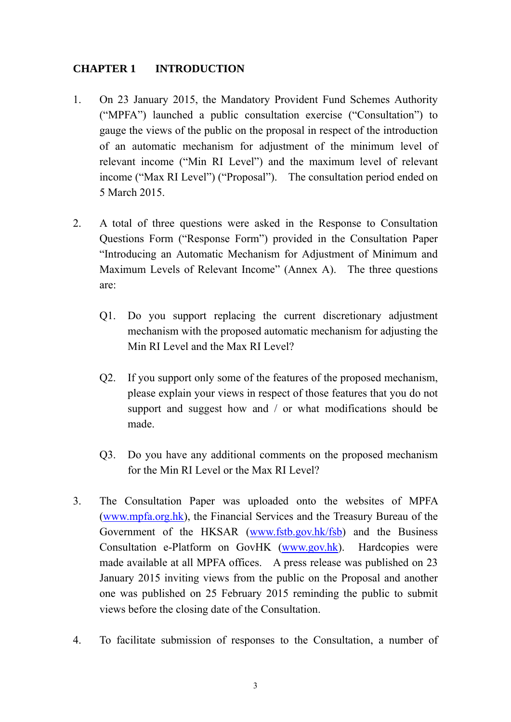#### **CHAPTER 1 INTRODUCTION**

- 1. On 23 January 2015, the Mandatory Provident Fund Schemes Authority ("MPFA") launched a public consultation exercise ("Consultation") to gauge the views of the public on the proposal in respect of the introduction of an automatic mechanism for adjustment of the minimum level of relevant income ("Min RI Level") and the maximum level of relevant income ("Max RI Level") ("Proposal"). The consultation period ended on 5 March 2015.
- 2. A total of three questions were asked in the Response to Consultation Questions Form ("Response Form") provided in the Consultation Paper "Introducing an Automatic Mechanism for Adjustment of Minimum and Maximum Levels of Relevant Income" (Annex A). The three questions are:
	- Q1. Do you support replacing the current discretionary adjustment mechanism with the proposed automatic mechanism for adjusting the Min RI Level and the Max RI Level?
	- Q2. If you support only some of the features of the proposed mechanism, please explain your views in respect of those features that you do not support and suggest how and / or what modifications should be made.
	- Q3. Do you have any additional comments on the proposed mechanism for the Min RI Level or the Max RI Level?
- 3. The Consultation Paper was uploaded onto the websites of MPFA (www.mpfa.org.hk), the Financial Services and the Treasury Bureau of the Government of the HKSAR (www.fstb.gov.hk/fsb) and the Business Consultation e-Platform on GovHK (www.gov.hk). Hardcopies were made available at all MPFA offices. A press release was published on 23 January 2015 inviting views from the public on the Proposal and another one was published on 25 February 2015 reminding the public to submit views before the closing date of the Consultation.
- 4. To facilitate submission of responses to the Consultation, a number of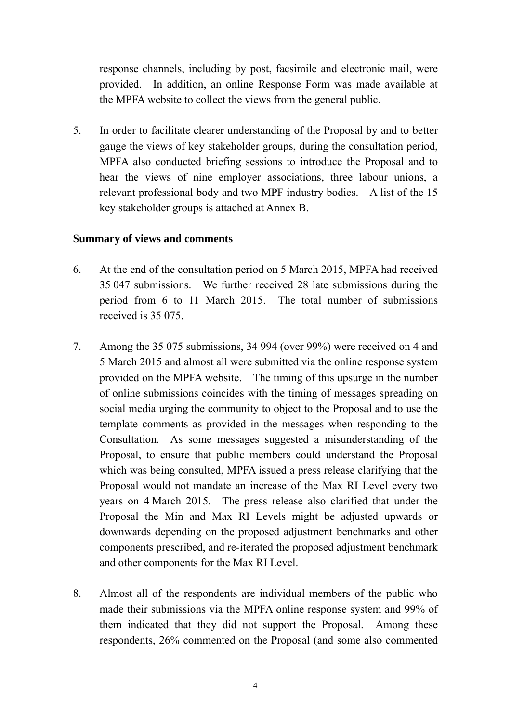response channels, including by post, facsimile and electronic mail, were provided. In addition, an online Response Form was made available at the MPFA website to collect the views from the general public.

5. In order to facilitate clearer understanding of the Proposal by and to better gauge the views of key stakeholder groups, during the consultation period, MPFA also conducted briefing sessions to introduce the Proposal and to hear the views of nine employer associations, three labour unions, a relevant professional body and two MPF industry bodies. A list of the 15 key stakeholder groups is attached at Annex B.

#### **Summary of views and comments**

- 6. At the end of the consultation period on 5 March 2015, MPFA had received 35 047 submissions. We further received 28 late submissions during the period from 6 to 11 March 2015. The total number of submissions received is 35 075.
- 7. Among the 35 075 submissions, 34 994 (over 99%) were received on 4 and 5 March 2015 and almost all were submitted via the online response system provided on the MPFA website. The timing of this upsurge in the number of online submissions coincides with the timing of messages spreading on social media urging the community to object to the Proposal and to use the template comments as provided in the messages when responding to the Consultation. As some messages suggested a misunderstanding of the Proposal, to ensure that public members could understand the Proposal which was being consulted, MPFA issued a press release clarifying that the Proposal would not mandate an increase of the Max RI Level every two years on 4 March 2015. The press release also clarified that under the Proposal the Min and Max RI Levels might be adjusted upwards or downwards depending on the proposed adjustment benchmarks and other components prescribed, and re-iterated the proposed adjustment benchmark and other components for the Max RI Level.
- 8. Almost all of the respondents are individual members of the public who made their submissions via the MPFA online response system and 99% of them indicated that they did not support the Proposal. Among these respondents, 26% commented on the Proposal (and some also commented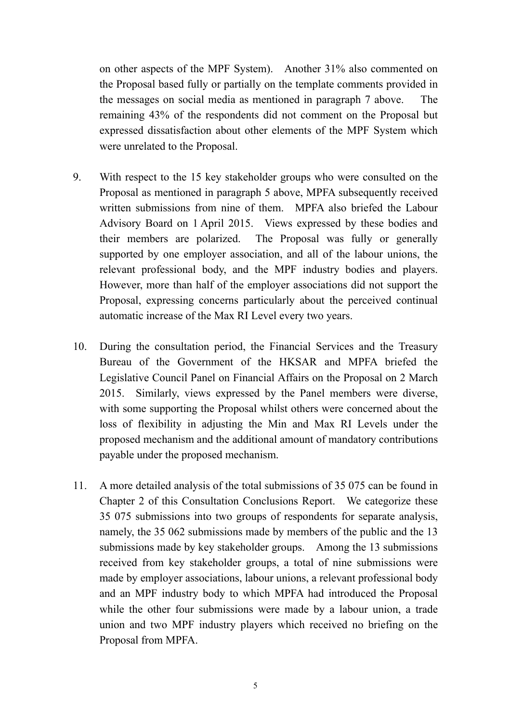on other aspects of the MPF System). Another 31% also commented on the Proposal based fully or partially on the template comments provided in the messages on social media as mentioned in paragraph 7 above. The remaining 43% of the respondents did not comment on the Proposal but expressed dissatisfaction about other elements of the MPF System which were unrelated to the Proposal.

- 9. With respect to the 15 key stakeholder groups who were consulted on the Proposal as mentioned in paragraph 5 above, MPFA subsequently received written submissions from nine of them. MPFA also briefed the Labour Advisory Board on 1 April 2015. Views expressed by these bodies and their members are polarized. The Proposal was fully or generally supported by one employer association, and all of the labour unions, the relevant professional body, and the MPF industry bodies and players. However, more than half of the employer associations did not support the Proposal, expressing concerns particularly about the perceived continual automatic increase of the Max RI Level every two years.
- 10. During the consultation period, the Financial Services and the Treasury Bureau of the Government of the HKSAR and MPFA briefed the Legislative Council Panel on Financial Affairs on the Proposal on 2 March 2015. Similarly, views expressed by the Panel members were diverse, with some supporting the Proposal whilst others were concerned about the loss of flexibility in adjusting the Min and Max RI Levels under the proposed mechanism and the additional amount of mandatory contributions payable under the proposed mechanism.
- 11. A more detailed analysis of the total submissions of 35 075 can be found in Chapter 2 of this Consultation Conclusions Report. We categorize these 35 075 submissions into two groups of respondents for separate analysis, namely, the 35 062 submissions made by members of the public and the 13 submissions made by key stakeholder groups. Among the 13 submissions received from key stakeholder groups, a total of nine submissions were made by employer associations, labour unions, a relevant professional body and an MPF industry body to which MPFA had introduced the Proposal while the other four submissions were made by a labour union, a trade union and two MPF industry players which received no briefing on the Proposal from MPFA.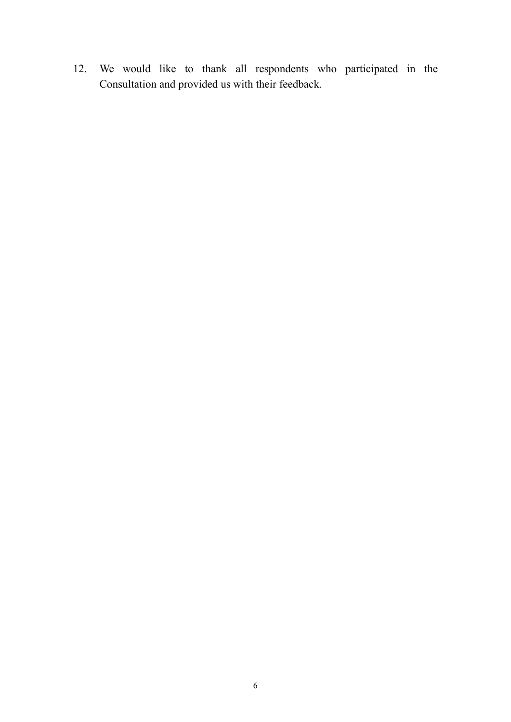12. We would like to thank all respondents who participated in the Consultation and provided us with their feedback.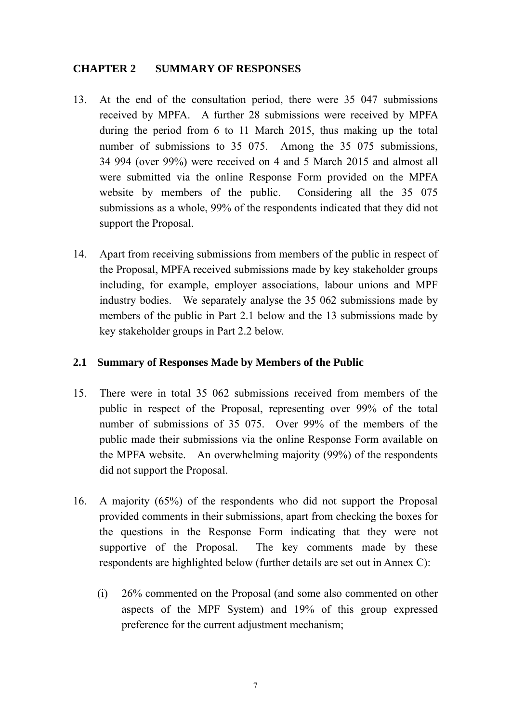#### **CHAPTER 2 SUMMARY OF RESPONSES**

- 13. At the end of the consultation period, there were 35 047 submissions received by MPFA. A further 28 submissions were received by MPFA during the period from 6 to 11 March 2015, thus making up the total number of submissions to 35 075. Among the 35 075 submissions, 34 994 (over 99%) were received on 4 and 5 March 2015 and almost all were submitted via the online Response Form provided on the MPFA website by members of the public. Considering all the 35 075 submissions as a whole, 99% of the respondents indicated that they did not support the Proposal.
- 14. Apart from receiving submissions from members of the public in respect of the Proposal, MPFA received submissions made by key stakeholder groups including, for example, employer associations, labour unions and MPF industry bodies. We separately analyse the 35 062 submissions made by members of the public in Part 2.1 below and the 13 submissions made by key stakeholder groups in Part 2.2 below.

#### **2.1 Summary of Responses Made by Members of the Public**

- 15. There were in total 35 062 submissions received from members of the public in respect of the Proposal, representing over 99% of the total number of submissions of 35 075. Over 99% of the members of the public made their submissions via the online Response Form available on the MPFA website. An overwhelming majority (99%) of the respondents did not support the Proposal.
- 16. A majority (65%) of the respondents who did not support the Proposal provided comments in their submissions, apart from checking the boxes for the questions in the Response Form indicating that they were not supportive of the Proposal. The key comments made by these respondents are highlighted below (further details are set out in Annex C):
	- (i) 26% commented on the Proposal (and some also commented on other aspects of the MPF System) and 19% of this group expressed preference for the current adjustment mechanism;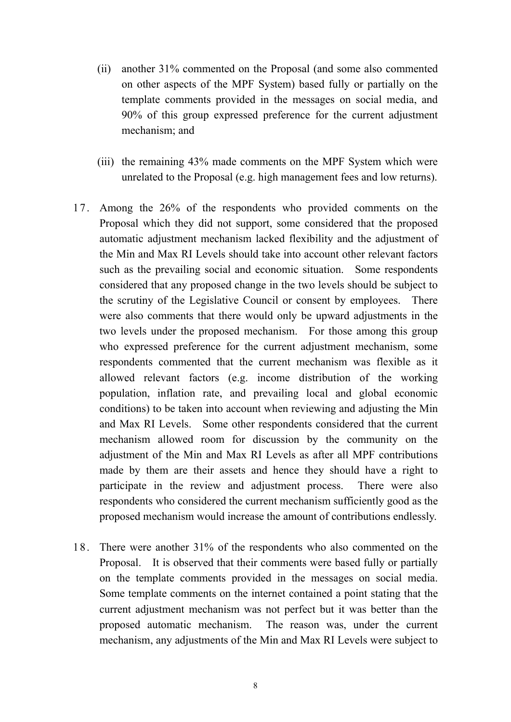- (ii) another 31% commented on the Proposal (and some also commented on other aspects of the MPF System) based fully or partially on the template comments provided in the messages on social media, and 90% of this group expressed preference for the current adjustment mechanism; and
- (iii) the remaining 43% made comments on the MPF System which were unrelated to the Proposal (e.g. high management fees and low returns).
- 17. Among the 26% of the respondents who provided comments on the Proposal which they did not support, some considered that the proposed automatic adjustment mechanism lacked flexibility and the adjustment of the Min and Max RI Levels should take into account other relevant factors such as the prevailing social and economic situation. Some respondents considered that any proposed change in the two levels should be subject to the scrutiny of the Legislative Council or consent by employees. There were also comments that there would only be upward adjustments in the two levels under the proposed mechanism. For those among this group who expressed preference for the current adjustment mechanism, some respondents commented that the current mechanism was flexible as it allowed relevant factors (e.g. income distribution of the working population, inflation rate, and prevailing local and global economic conditions) to be taken into account when reviewing and adjusting the Min and Max RI Levels. Some other respondents considered that the current mechanism allowed room for discussion by the community on the adjustment of the Min and Max RI Levels as after all MPF contributions made by them are their assets and hence they should have a right to participate in the review and adjustment process. There were also respondents who considered the current mechanism sufficiently good as the proposed mechanism would increase the amount of contributions endlessly.
- 18. There were another 31% of the respondents who also commented on the Proposal. It is observed that their comments were based fully or partially on the template comments provided in the messages on social media. Some template comments on the internet contained a point stating that the current adjustment mechanism was not perfect but it was better than the proposed automatic mechanism. The reason was, under the current mechanism, any adjustments of the Min and Max RI Levels were subject to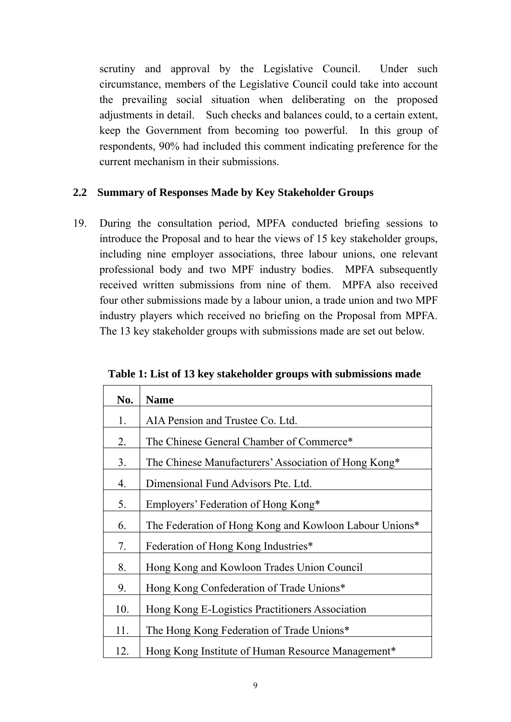scrutiny and approval by the Legislative Council. Under such circumstance, members of the Legislative Council could take into account the prevailing social situation when deliberating on the proposed adjustments in detail. Such checks and balances could, to a certain extent, keep the Government from becoming too powerful. In this group of respondents, 90% had included this comment indicating preference for the current mechanism in their submissions.

#### **2.2 Summary of Responses Made by Key Stakeholder Groups**

19. During the consultation period, MPFA conducted briefing sessions to introduce the Proposal and to hear the views of 15 key stakeholder groups, including nine employer associations, three labour unions, one relevant professional body and two MPF industry bodies. MPFA subsequently received written submissions from nine of them. MPFA also received four other submissions made by a labour union, a trade union and two MPF industry players which received no briefing on the Proposal from MPFA. The 13 key stakeholder groups with submissions made are set out below.

| No. | <b>Name</b>                                            |
|-----|--------------------------------------------------------|
| 1.  | AIA Pension and Trustee Co. Ltd.                       |
| 2.  | The Chinese General Chamber of Commerce*               |
| 3.  | The Chinese Manufacturers' Association of Hong Kong*   |
| 4.  | Dimensional Fund Advisors Pte. Ltd.                    |
| 5.  | Employers' Federation of Hong Kong*                    |
| 6.  | The Federation of Hong Kong and Kowloon Labour Unions* |
| 7.  | Federation of Hong Kong Industries*                    |
| 8.  | Hong Kong and Kowloon Trades Union Council             |
| 9.  | Hong Kong Confederation of Trade Unions*               |
| 10. | Hong Kong E-Logistics Practitioners Association        |
| 11. | The Hong Kong Federation of Trade Unions*              |
| 12. | Hong Kong Institute of Human Resource Management*      |

**Table 1: List of 13 key stakeholder groups with submissions made**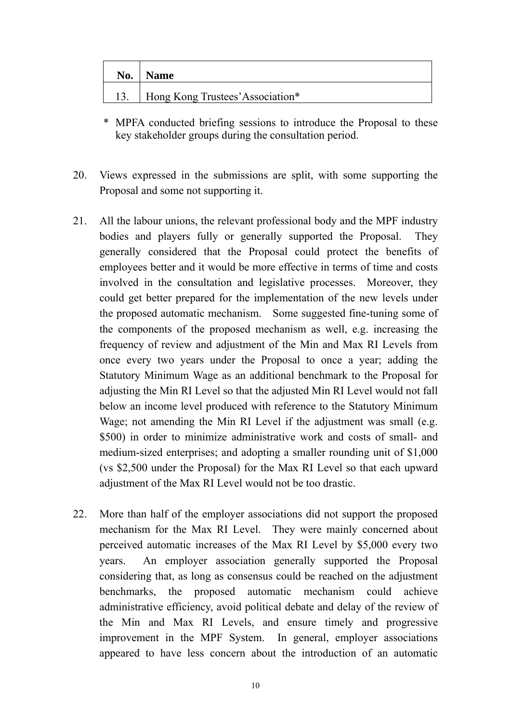| No. | <b>Name</b>                      |
|-----|----------------------------------|
|     | Hong Kong Trustees' Association* |

- \* MPFA conducted briefing sessions to introduce the Proposal to these key stakeholder groups during the consultation period.
- 20. Views expressed in the submissions are split, with some supporting the Proposal and some not supporting it.
- 21. All the labour unions, the relevant professional body and the MPF industry bodies and players fully or generally supported the Proposal. They generally considered that the Proposal could protect the benefits of employees better and it would be more effective in terms of time and costs involved in the consultation and legislative processes. Moreover, they could get better prepared for the implementation of the new levels under the proposed automatic mechanism. Some suggested fine-tuning some of the components of the proposed mechanism as well, e.g. increasing the frequency of review and adjustment of the Min and Max RI Levels from once every two years under the Proposal to once a year; adding the Statutory Minimum Wage as an additional benchmark to the Proposal for adjusting the Min RI Level so that the adjusted Min RI Level would not fall below an income level produced with reference to the Statutory Minimum Wage; not amending the Min RI Level if the adjustment was small (e.g. \$500) in order to minimize administrative work and costs of small- and medium-sized enterprises; and adopting a smaller rounding unit of \$1,000 (vs \$2,500 under the Proposal) for the Max RI Level so that each upward adjustment of the Max RI Level would not be too drastic.
- 22. More than half of the employer associations did not support the proposed mechanism for the Max RI Level. They were mainly concerned about perceived automatic increases of the Max RI Level by \$5,000 every two years. An employer association generally supported the Proposal considering that, as long as consensus could be reached on the adjustment benchmarks, the proposed automatic mechanism could achieve administrative efficiency, avoid political debate and delay of the review of the Min and Max RI Levels, and ensure timely and progressive improvement in the MPF System. In general, employer associations appeared to have less concern about the introduction of an automatic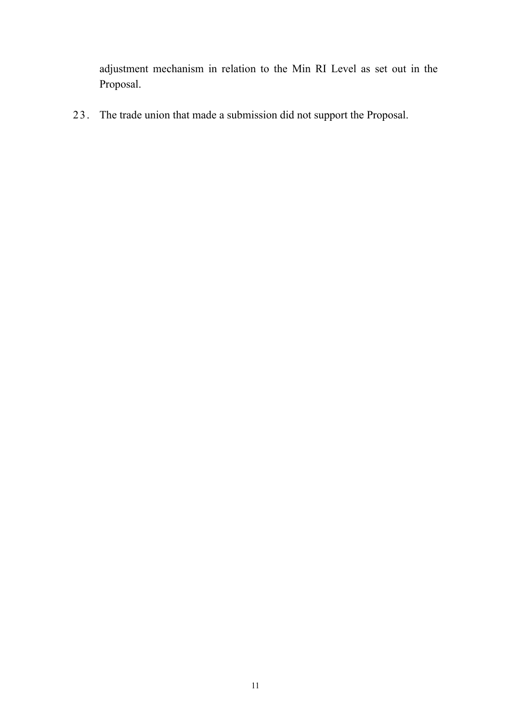adjustment mechanism in relation to the Min RI Level as set out in the Proposal.

23. The trade union that made a submission did not support the Proposal.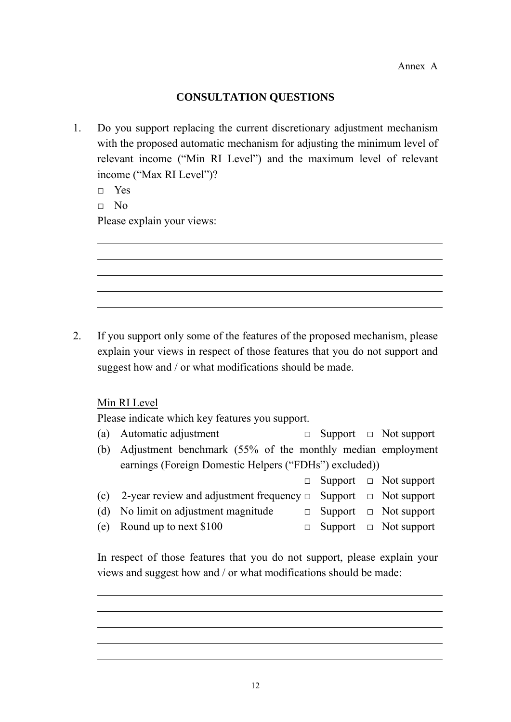#### **CONSULTATION QUESTIONS**

1. Do you support replacing the current discretionary adjustment mechanism with the proposed automatic mechanism for adjusting the minimum level of relevant income ("Min RI Level") and the maximum level of relevant income ("Max RI Level")?

□ Yes

 $\neg$  No

Please explain your views:

2. If you support only some of the features of the proposed mechanism, please explain your views in respect of those features that you do not support and suggest how and / or what modifications should be made.

Min RI Level

Please indicate which key features you support.

- (a) Automatic adjustment  $\Box$  Support  $\Box$  Not support
- (b) Adjustment benchmark (55% of the monthly median employment earnings (Foreign Domestic Helpers ("FDHs") excluded))

|                                                                              |  | $\Box$ Support $\Box$ Not support |
|------------------------------------------------------------------------------|--|-----------------------------------|
| (c) 2-year review and adjustment frequency $\Box$ Support $\Box$ Not support |  |                                   |
| (d) No limit on adjustment magnitude                                         |  | $\Box$ Support $\Box$ Not support |
| (e) Round up to next $$100$                                                  |  | $\Box$ Support $\Box$ Not support |

In respect of those features that you do not support, please explain your views and suggest how and / or what modifications should be made: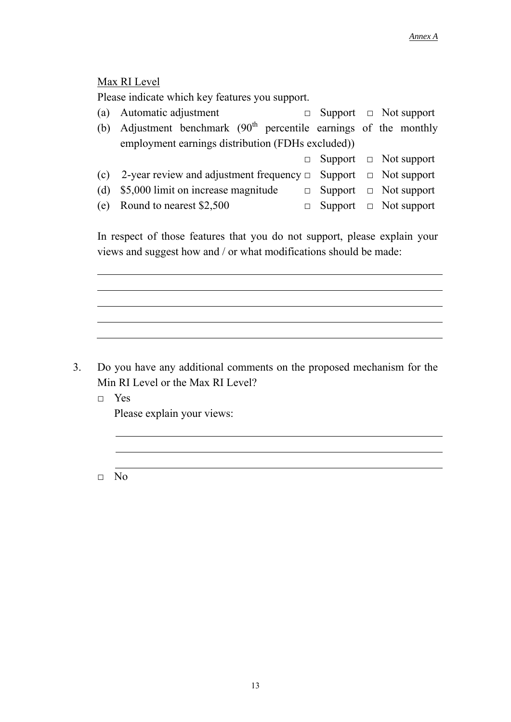#### Max RI Level

Please indicate which key features you support.

|     | (a) Automatic adjustment                                                     |  | $\Box$ Support $\Box$ Not support |
|-----|------------------------------------------------------------------------------|--|-----------------------------------|
| (b) | Adjustment benchmark $(90th$ percentile earnings of the monthly              |  |                                   |
|     | employment earnings distribution (FDHs excluded))                            |  |                                   |
|     |                                                                              |  | $\Box$ Support $\Box$ Not support |
|     | (c) 2-year review and adjustment frequency $\Box$ Support $\Box$ Not support |  |                                   |
| (d) | \$5,000 limit on increase magnitude                                          |  | $\Box$ Support $\Box$ Not support |
|     | (e) Round to nearest $$2,500$                                                |  | $\Box$ Support $\Box$ Not support |

In respect of those features that you do not support, please explain your views and suggest how and / or what modifications should be made:

### 3. Do you have any additional comments on the proposed mechanism for the Min RI Level or the Max RI Level?

□ Yes Please explain your views:

□ No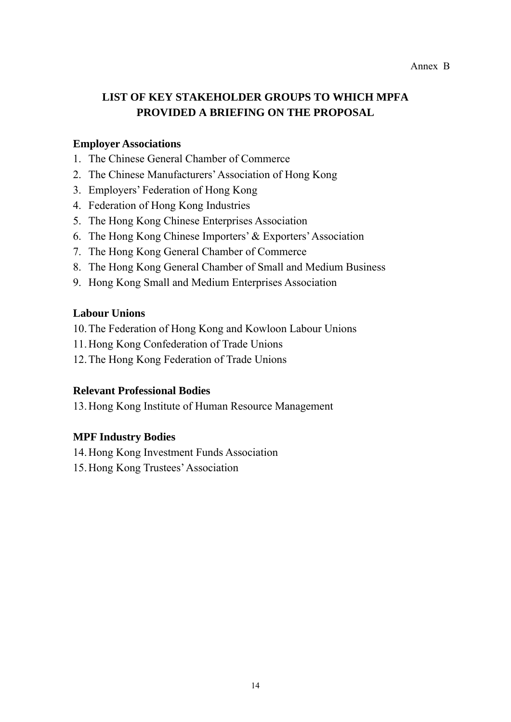# **LIST OF KEY STAKEHOLDER GROUPS TO WHICH MPFA PROVIDED A BRIEFING ON THE PROPOSAL**

#### **Employer Associations**

- 1. The Chinese General Chamber of Commerce
- 2. The Chinese Manufacturers' Association of Hong Kong
- 3. Employers' Federation of Hong Kong
- 4. Federation of Hong Kong Industries
- 5. The Hong Kong Chinese Enterprises Association
- 6. The Hong Kong Chinese Importers' & Exporters' Association
- 7. The Hong Kong General Chamber of Commerce
- 8. The Hong Kong General Chamber of Small and Medium Business
- 9. Hong Kong Small and Medium Enterprises Association

#### **Labour Unions**

- 10.The Federation of Hong Kong and Kowloon Labour Unions
- 11.Hong Kong Confederation of Trade Unions
- 12.The Hong Kong Federation of Trade Unions

#### **Relevant Professional Bodies**

13.Hong Kong Institute of Human Resource Management

#### **MPF Industry Bodies**

- 14.Hong Kong Investment Funds Association
- 15.Hong Kong Trustees' Association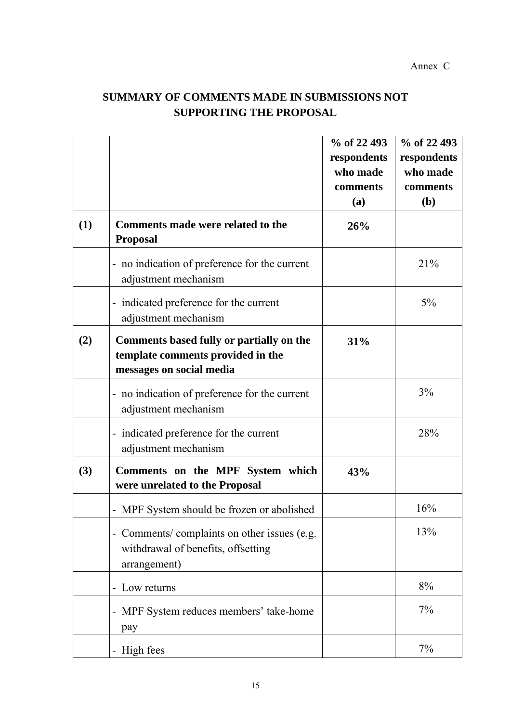# **SUMMARY OF COMMENTS MADE IN SUBMISSIONS NOT SUPPORTING THE PROPOSAL**

|     |                                                                                                           | % of 22 493<br>respondents<br>who made<br>comments<br>(a) | % of 22 493<br>respondents<br>who made<br>comments<br>( <b>b</b> ) |
|-----|-----------------------------------------------------------------------------------------------------------|-----------------------------------------------------------|--------------------------------------------------------------------|
| (1) | Comments made were related to the<br><b>Proposal</b>                                                      | 26%                                                       |                                                                    |
|     | - no indication of preference for the current<br>adjustment mechanism                                     |                                                           | 21%                                                                |
|     | - indicated preference for the current<br>adjustment mechanism                                            |                                                           | 5%                                                                 |
| (2) | Comments based fully or partially on the<br>template comments provided in the<br>messages on social media | 31%                                                       |                                                                    |
|     | - no indication of preference for the current<br>adjustment mechanism                                     |                                                           | 3%                                                                 |
|     | - indicated preference for the current<br>adjustment mechanism                                            |                                                           | 28%                                                                |
| (3) | Comments on the MPF System which<br>were unrelated to the Proposal                                        | 43%                                                       |                                                                    |
|     | MPF System should be frozen or abolished                                                                  |                                                           | 16%                                                                |
|     | - Comments/ complaints on other issues (e.g.<br>withdrawal of benefits, offsetting<br>arrangement)        |                                                           | 13%                                                                |
|     | - Low returns                                                                                             |                                                           | 8%                                                                 |
|     | MPF System reduces members' take-home<br>pay                                                              |                                                           | 7%                                                                 |
|     | - High fees                                                                                               |                                                           | 7%                                                                 |